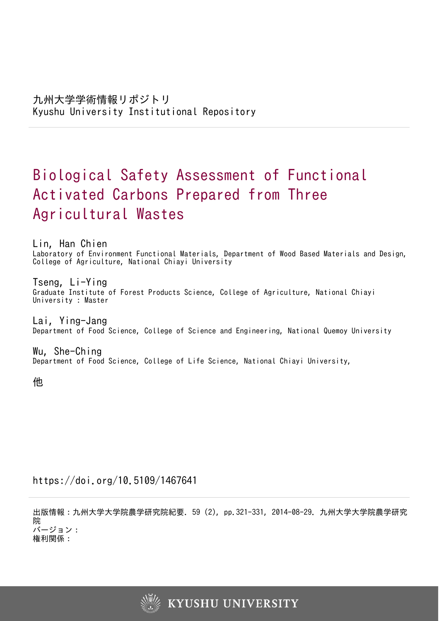# Biological Safety Assessment of Functional Activated Carbons Prepared from Three Agricultural Wastes

Lin, Han Chien Laboratory of Environment Functional Materials, Department of Wood Based Materials and Design, College of Agriculture, National Chiayi University

Tseng, Li-Ying Graduate Institute of Forest Products Science, College of Agriculture, National Chiayi University : Master

Lai, Ying-Jang Department of Food Science, College of Science and Engineering, National Quemoy University

Wu, She-Ching Department of Food Science, College of Life Science, National Chiayi University,

他

https://doi.org/10.5109/1467641

出版情報:九州大学大学院農学研究院紀要. 59 (2), pp.321-331, 2014-08-29. 九州大学大学院農学研究 院 バージョン:

権利関係:

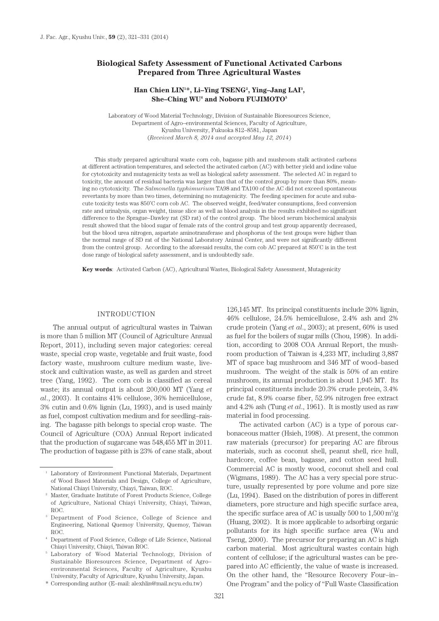# **Biological Safety Assessment of Functional Activated Carbons Prepared from Three Agricultural Wastes**

# Han Chien LIN<sup>1\*</sup>, Li-Ying TSENG<sup>2</sup>, Ying-Jang LAI<sup>3</sup>,  $She–Ching WU<sup>4</sup>$  and Noboru FUJIMOTO<sup>5</sup>

Laboratory of Wood Material Technology, Division of Sustainable Bioresources Science, Department of Agro–environmental Sciences, Faculty of Agriculture, Kyushu University, Fukuoka 812–8581, Japan (*Received March 8, 2014 and accepted May 12, 2014*)

This study prepared agricultural waste corn cob, bagasse pith and mushroom stalk activated carbons at different activation temperatures, and selected the activated carbon (AC) with better yield and iodine value for cytotoxicity and mutagenicity tests as well as biological safety assessment. The selected AC in regard to toxicity, the amount of residual bacteria was larger than that of the control group by more than 80%, meaning no cytotoxicity. The *Salmonella typhimurium* TA98 and TA100 of the AC did not exceed spontaneous revertants by more than two times, determining no mutagenicity. The feeding specimen for acute and subacute toxicity tests was 850˚C corn cob AC. The observed weight, feed/water consumptions, feed conversion rate and urinalysis, organ weight, tissue slice as well as blood analysis in the results exhibited no significant difference to the Sprague–Dawley rat (SD rat) of the control group. The blood serum biochemical analysis result showed that the blood sugar of female rats of the control group and test group apparently decreased, but the blood urea nitrogen, aspartate aminotransferase and phosphorus of the test groups were higher than the normal range of SD rat of the National Laboratory Animal Center, and were not significantly different from the control group. According to the aforesaid results, the corn cob AC prepared at 850˚C is in the test dose range of biological safety assessment, and is undoubtedly safe.

**Key words**: Activated Carbon (AC), Agricultural Wastes, Biological Safety Assessment, Mutagenicity

#### INTRODUCTION

The annual output of agricultural wastes in Taiwan is more than 5 million MT (Council of Agriculture Annual Report, 2011), including seven major categories: cereal waste, special crop waste, vegetable and fruit waste, food factory waste, mushroom culture medium waste, livestock and cultivation waste, as well as garden and street tree (Yang, 1992). The corn cob is classified as cereal waste; its annual output is about 200,000 MT (Yang *et al*., 2003). It contains 41% cellulose, 36% hemicellulose, 3% cutin and 0.6% lignin (Lu, 1993), and is used mainly as fuel, compost cultivation medium and for seedling–raising. The bagasse pith belongs to special crop waste. The Council of Agriculture (COA) Annual Report indicated that the production of sugarcane was 548,455 MT in 2011. The production of bagasse pith is 23% of cane stalk, about

126,145 MT. Its principal constituents include 20% lignin, 46% cellulose, 24.5% hemicellulose, 2.4% ash and 2% crude protein (Yang *et al*., 2003); at present, 60% is used as fuel for the boilers of sugar mills (Chou, 1998). In addition, according to 2008 COA Annual Report, the mushroom production of Taiwan is 4,233 MT, including 3,887 MT of space bag mushroom and 346 MT of wood–based mushroom. The weight of the stalk is 50% of an entire mushroom, its annual production is about 1,945 MT. Its principal constituents include 20.3% crude protein, 3.4% crude fat, 8.9% coarse fiber, 52.9% nitrogen free extract and 4.2% ash (Tung *et al*., 1961). It is mostly used as raw material in food processing.

The activated carbon (AC) is a type of porous carbonaceous matter (Hsieh, 1998). At present, the common raw materials (precursor) for preparing AC are fibrous materials, such as coconut shell, peanut shell, rice hull, hardcore, coffee bean, bagasse, and cotton seed hull. Commercial AC is mostly wood, coconut shell and coal (Wigmans, 1989). The AC has a very special pore structure, usually represented by pore volume and pore size (Lu, 1994). Based on the distribution of pores in different diameters, pore structure and high specific surface area, the specific surface area of AC is usually  $500$  to  $1,500$  m<sup>2</sup>/g (Huang, 2002). It is more applicable to adsorbing organic pollutants for its high specific surface area (Wu and Tseng, 2000). The precursor for preparing an AC is high carbon material. Most agricultural wastes contain high content of cellulose; if the agricultural wastes can be prepared into AC efficiently, the value of waste is increased. On the other hand, the "Resource Recovery Four–in– One Program" and the policy of "Full Waste Classification

<sup>&</sup>lt;sup>1</sup> Laboratory of Environment Functional Materials, Department of Wood Based Materials and Design, College of Agriculture, National Chiayi University, Chiayi, Taiwan, ROC.

<sup>2</sup> Master, Graduate Institute of Forest Products Science, College of Agriculture, National Chiayi University, Chiayi, Taiwan, ROC.

Department of Food Science, College of Science and Engineering, National Quemoy University, Quemoy, Taiwan ROC.

<sup>4</sup> Department of Food Science, College of Life Science, National Chiayi University, Chiayi, Taiwan ROC.

<sup>5</sup> Laboratory of Wood Material Technology, Division of Sustainable Bioresources Science, Department of Agro– environmental Sciences, Faculty of Agriculture, Kyushu University, Faculty of Agriculture, Kyushu University, Japan.

<sup>\*</sup> Corresponding author (E–mail: alexhlin@mail.ncyu.edu.tw)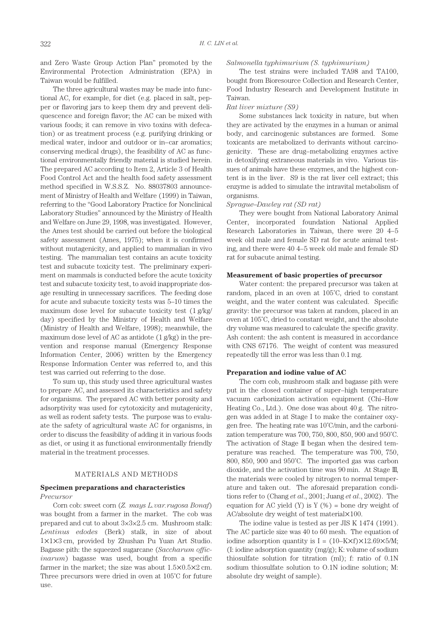and Zero Waste Group Action Plan" promoted by the Environmental Protection Administration (EPA) in Taiwan would be fulfilled.

The three agricultural wastes may be made into functional AC, for example, for diet (e.g. placed in salt, pepper or flavoring jars to keep them dry and prevent deliquescence and foreign flavor; the AC can be mixed with various foods; it can remove in vivo toxins with defecation) or as treatment process (e.g. purifying drinking or medical water, indoor and outdoor or in–car aromatics; conserving medical drugs), the feasibility of AC as functional environmentally friendly material is studied herein. The prepared AC according to Item 2, Article 3 of Health Food Control Act and the health food safety assessment method specified in W.S.S.Z. No. 88037803 announcement of Ministry of Health and Welfare (1999) in Taiwan, referring to the "Good Laboratory Practice for Nonclinical Laboratory Studies" announced by the Ministry of Health and Welfare on June 29, 1998, was investigated. However, the Ames test should be carried out before the biological safety assessment (Ames, 1975); when it is confirmed without mutagenicity, and applied to mammalian in vivo testing. The mammalian test contains an acute toxicity test and subacute toxicity test. The preliminary experiment on mammals is conducted before the acute toxicity test and subacute toxicity test, to avoid inappropriate dosage resulting in unnecessary sacrifices. The feeding dose for acute and subacute toxicity tests was 5–10 times the maximum dose level for subacute toxicity test (1 g/kg/ day) specified by the Ministry of Health and Welfare (Ministry of Health and Welfare, 1998); meanwhile, the maximum dose level of AC as antidote (1 g/kg) in the prevention and response manual (Emergency Response Information Center, 2006) written by the Emergency Response Information Center was referred to, and this test was carried out referring to the dose.

To sum up, this study used three agricultural wastes to prepare AC, and assessed its characteristics and safety for organisms. The prepared AC with better porosity and adsorptivity was used for cytotoxicity and mutagenicity, as well as rodent safety tests. The purpose was to evaluate the safety of agricultural waste AC for organisms, in order to discuss the feasibility of adding it in various foods as diet, or using it as functional environmentally friendly material in the treatment processes.

# MATERIALS AND METHODS

## **Specimen preparations and characteristics** *Precursor*

Corn cob: sweet corn (*Z. mays L.var.rugosa Bonaf*) was bought from a farmer in the market. The cob was prepared and cut to about 3×3×2.5 cm. Mushroom stalk: *Lentinus edodes* (Berk) stalk, in size of about 1×1×3 cm, provided by Zhushan Pu Yuan Art Studio. Bagasse pith: the squeezed sugarcane (*Saccharum officinarum*) bagasse was used, bought from a specific farmer in the market; the size was about 1.5×0.5×2 cm. Three precursors were dried in oven at 105˚C for future use.

## *Salmonella typhimurium (S. typhimurium)*

The test strains were included TA98 and TA100, bought from Bioresource Collection and Research Center, Food Industry Research and Development Institute in Taiwan.

#### *Rat liver mixture (S9)*

Some substances lack toxicity in nature, but when they are activated by the enzymes in a human or animal body, and carcinogenic substances are formed. Some toxicants are metabolized to derivants without carcinogenicity. These are drug–metabolizing enzymes active in detoxifying extraneous materials in vivo. Various tissues of animals have these enzymes, and the highest content is in the liver. S9 is the rat liver cell extract; this enzyme is added to simulate the intravital metabolism of organisms.

## *Sprague–Dawley rat (SD rat)*

They were bought from National Laboratory Animal Center, incorporated foundation National Applied Research Laboratories in Taiwan, there were 20 4–5 week old male and female SD rat for acute animal testing, and there were 40 4–5 week old male and female SD rat for subacute animal testing.

## **Measurement of basic properties of precursor**

Water content: the prepared precursor was taken at random, placed in an oven at 105˚C, dried to constant weight, and the water content was calculated. Specific gravity: the precursor was taken at random, placed in an oven at 105˚C, dried to constant weight, and the absolute dry volume was measured to calculate the specific gravity. Ash content: the ash content is measured in accordance with CNS 67176. The weight of content was measured repeatedly till the error was less than 0.1 mg.

## **Preparation and iodine value of AC**

The corn cob, mushroom stalk and bagasse pith were put in the closed container of super–high temperature vacuum carbonization activation equipment (Chi–How Heating Co., Ltd.). One dose was about 40 g. The nitrogen was added in at Stage I to make the container oxygen free. The heating rate was 10˚C/min, and the carbonization temperature was 700, 750, 800, 850, 900 and 950˚C. The activation of Stage II began when the desired temperature was reached. The temperature was 700, 750, 800, 850, 900 and 950˚C. The imported gas was carbon dioxide, and the activation time was 90 min. At Stage III, the materials were cooled by nitrogen to normal temperature and taken out. The aforesaid preparation conditions refer to (Chang *et al*., 2001; Juang *et al*., 2002). The equation for AC yield  $(Y)$  is  $Y$  (%) = bone dry weight of AC/absolute dry weight of test material×100.

The iodine value is tested as per JIS K 1474 (1991). The AC particle size was 40 to 60 mesh. The equation of iodine adsorption quantity is  $I = (10-K\times f)\times 12.69\times 5/M;$ (I: iodine adsorption quantity (mg/g); K: volume of sodium thiosulfate solution for titration (ml); f: ratio of 0.1N sodium thiosulfate solution to O.1N iodine solution; M: absolute dry weight of sample).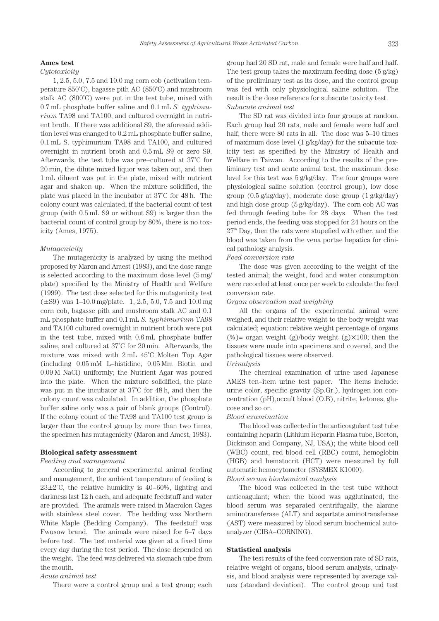#### *Safety Assessment of Agricultural Waste Activiated Carbon* 323

#### **Ames test**

## *Cytotoxicity*

1, 2.5, 5.0, 7.5 and 10.0 mg corn cob (activation temperature 850˚C), bagasse pith AC (850˚C) and mushroom stalk AC (800˚C) were put in the test tube, mixed with 0.7 mL phosphate buffer saline and 0.1 mL *S. typhimurium* TA98 and TA100, and cultured overnight in nutrient broth. If there was additional S9, the aforesaid addition level was changed to 0.2 mL phosphate buffer saline, 0.1 mL S. typhimurium TA98 and TA100, and cultured overnight in nutrient broth and 0.5 mL S9 or zero S9. Afterwards, the test tube was pre–cultured at 37˚C for 20 min, the dilute mixed liquor was taken out, and then 1 mL diluent was put in the plate, mixed with nutrient agar and shaken up. When the mixture solidified, the plate was placed in the incubator at 37˚C for 48 h. The colony count was calculated; if the bacterial count of test group (with 0.5 mL S9 or without S9) is larger than the bacterial count of control group by 80%, there is no toxicity (Ames, 1975).

#### *Mutagenicity*

The mutagenicity is analyzed by using the method proposed by Maron and Amest (1983), and the dose range is selected according to the maximum dose level (5 mg/ plate) specified by the Ministry of Health and Welfare (1999). The test dose selected for this mutagenicity test (±S9) was 1–10.0 mg/plate. 1, 2.5, 5.0, 7.5 and 10.0 mg corn cob, bagasse pith and mushroom stalk AC and 0.1 mL phosphate buffer and 0.1 mL *S. typhimurium* TA98 and TA100 cultured overnight in nutrient broth were put in the test tube, mixed with 0.6 mL phosphate buffer saline, and cultured at 37˚C for 20 min. Afterwards, the mixture was mixed with 2 mL 45˚C Molten Top Agar (including 0.05 mM L–histidine, 0.05 Mm Biotin and 0.09 M NaCl) uniformly; the Nutrient Agar was poured into the plate. When the mixture solidified, the plate was put in the incubator at 37˚C for 48 h, and then the colony count was calculated. In addition, the phosphate buffer saline only was a pair of blank groups (Control). If the colony count of the TA98 and TA100 test group is larger than the control group by more than two times, the specimen has mutagenicity (Maron and Amest, 1983).

#### **Biological safety assessment**

#### *Feeding and management*

According to general experimental animal feeding and management, the ambient temperature of feeding is  $23\pm2\degree$ C, the relative humidity is 40–60%, lighting and darkness last 12 h each, and adequate feedstuff and water are provided. The animals were raised in Macrolon Cages with stainless steel cover. The bedding was Northern White Maple (Bedding Company). The feedstuff was Fwusow brand. The animals were raised for 5–7 days before test. The test material was given at a fixed time every day during the test period. The dose depended on the weight. The feed was delivered via stomach tube from the mouth.

# *Acute animal test*

There were a control group and a test group; each

group had 20 SD rat, male and female were half and half. The test group takes the maximum feeding dose (5 g/kg) of the preliminary test as its dose, and the control group was fed with only physiological saline solution. The result is the dose reference for subacute toxicity test. *Subacute animal test*

The SD rat was divided into four groups at random. Each group had 20 rats, male and female were half and half; there were 80 rats in all. The dose was 5–10 times of maximum dose level (1 g/kg/day) for the subacute toxicity test as specified by the Ministry of Health and Welfare in Taiwan. According to the results of the preliminary test and acute animal test, the maximum dose level for this test was 5 g/kg/day. The four groups were physiological saline solution (control group), low dose group (0.5 g/kg/day), moderate dose group (1 g/kg/day) and high dose group (5 g/kg/day). The corn cob AC was fed through feeding tube for 28 days. When the test period ends, the feeding was stopped for 24 hours on the  $27<sup>th</sup>$  Day, then the rats were stupefied with ether, and the blood was taken from the vena portae hepatica for clinical pathology analysis.

#### *Feed conversion rate*

The dose was given according to the weight of the tested animal; the weight, food and water consumption were recorded at least once per week to calculate the feed conversion rate.

## *Organ observation and weighing*

All the organs of the experimental animal were weighed, and their relative weight to the body weight was calculated; equation: relative weight percentage of organs  $(\%)$  organ weight (g)/body weight (g) $\times 100$ ; then the tissues were made into specimens and covered, and the pathological tissues were observed.

# *Urinalysis*

The chemical examination of urine used Japanese AMES ten–item urine test paper. The items include: urine color, specific gravity (Sp.Gr.), hydrogen ion concentration (pH),occult blood (O.B), nitrite, ketones, glucose and so on.

# *Blood examination*

The blood was collected in the anticoagulant test tube containing heparin (Lithium Heparin Plasma tube, Becton, Dickinson and Company, NJ, USA); the white blood cell (WBC) count, red blood cell (RBC) count, hemoglobin (HGB) and hematocrit (HCT) were measured by full automatic hemocytometer (SYSMEX K1000).

# *Blood serum biochemical analysis*

The blood was collected in the test tube without anticoagulant; when the blood was agglutinated, the blood serum was separated centrifugally, the alanine aminotransferase (ALT) and aspartate aminotransferase (AST) were measured by blood serum biochemical autoanalyzer (CIBA–CORNING).

#### **Statistical analysis**

The test results of the feed conversion rate of SD rats, relative weight of organs, blood serum analysis, urinalysis, and blood analysis were represented by average values (standard deviation). The control group and test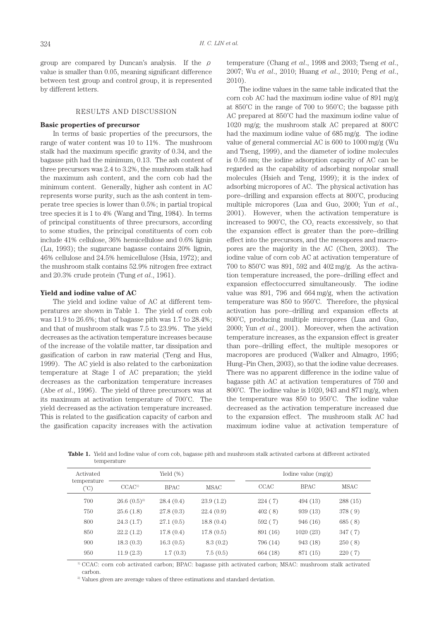group are compared by Duncan's analysis. If the  $\rho$ value is smaller than 0.05, meaning significant difference between test group and control group, it is represented by different letters.

#### RESULTS AND DISCUSSION

## **Basic properties of precursor**

In terms of basic properties of the precursors, the range of water content was 10 to 11%. The mushroom stalk had the maximum specific gravity of 0.34, and the bagasse pith had the minimum, 0.13. The ash content of three precursors was 2.4 to 3.2%, the mushroom stalk had the maximum ash content, and the corn cob had the minimum content. Generally, higher ash content in AC represents worse purity, such as the ash content in temperate tree species is lower than 0.5%; in partial tropical tree species it is 1 to 4% (Wang and Ting, 1984). In terms of principal constituents of three precursors, according to some studies, the principal constituents of corn cob include 41% cellulose, 36% hemicellulose and 0.6% lignin (Lu, 1993); the sugarcane bagasse contains 20% lignin, 46% cellulose and 24.5% hemicellulose (Hsia, 1972); and the mushroom stalk contains 52.9% nitrogen free extract and 20.3% crude protein (Tung *et al*., 1961).

#### **Yield and iodine value of AC**

The yield and iodine value of AC at different temperatures are shown in Table 1. The yield of corn cob was 11.9 to 26.6%; that of bagasse pith was 1.7 to 28.4%; and that of mushroom stalk was 7.5 to 23.9%. The yield decreases as the activation temperature increases because of the increase of the volatile matter, tar dissipation and gasification of carbon in raw material (Teng and Hus, 1999). The AC yield is also related to the carbonization temperature at Stage I of AC preparation; the yield decreases as the carbonization temperature increases (Abe *et al*., 1996). The yield of three precursors was at its maximum at activation temperature of 700˚C. The yield decreased as the activation temperature increased. This is related to the gasification capacity of carbon and the gasification capacity increases with the activation temperature (Chang *et al*., 1998 and 2003; Tseng *et al*., 2007; Wu *et al*., 2010; Huang *et al*., 2010; Peng *et al*., 2010).

The iodine values in the same table indicated that the corn cob AC had the maximum iodine value of 891 mg/g at 850˚C in the range of 700 to 950˚C; the bagasse pith AC prepared at 850˚C had the maximum iodine value of 1020 mg/g; the mushroom stalk AC prepared at 800˚C had the maximum iodine value of 685 mg/g. The iodine value of general commercial AC is 600 to 1000 mg/g (Wu and Tseng, 1999), and the diameter of iodine molecules is 0.56 nm; the iodine adsorption capacity of AC can be regarded as the capability of adsorbing nonpolar small molecules (Hsieh and Teng, 1999); it is the index of adsorbing micropores of AC. The physical activation has pore–drilling and expansion effects at 800˚C, producing multiple micropores (Lua and Guo, 2000; Yun *et al*., 2001). However, when the activation temperature is increased to  $900^{\circ}$ C, the  $CO<sub>2</sub>$  reacts excessively, so that the expansion effect is greater than the pore–drilling effect into the precursors, and the mesopores and macropores are the majority in the AC (Chen, 2003). The iodine value of corn cob AC at activation temperature of 700 to 850˚C was 891, 592 and 402 mg/g. As the activation temperature increased, the pore–drilling effect and expansion effectoccurred simultaneously. The iodine value was 891, 796 and 664 mg/g, when the activation temperature was 850 to 950˚C. Therefore, the physical activation has pore–drilling and expansion effects at 800˚C, producing multiple micropores (Lua and Guo, 2000; Yun *et al*., 2001). Moreover, when the activation temperature increases, as the expansion effect is greater than pore–drilling effect, the multiple mesopores or macropores are produced (Walker and Almagro, 1995; Hung–Pin Chen, 2003), so that the iodine value decreases. There was no apparent difference in the iodine value of bagasse pith AC at activation temperatures of 750 and 800˚C. The iodine value is 1020, 943 and 871 mg/g, when the temperature was 850 to 950˚C. The iodine value decreased as the activation temperature increased due to the expansion effect. The mushroom stalk AC had maximum iodine value at activation temperature of

**Table 1.** Yield and Iodine value of corn cob, bagasse pith and mushroom stalk activated carbons at different activated temperature

| Activated           |                   | Yield $(\%)$ |             |          | Iodine value $(mg/g)$ |             |  |  |
|---------------------|-------------------|--------------|-------------|----------|-----------------------|-------------|--|--|
| temperature<br>(°C) | CCAC <sup>1</sup> | <b>BPAC</b>  | <b>MSAC</b> | CCAC     | <b>BPAC</b>           | <b>MSAC</b> |  |  |
| 700                 | $26.6~(0.5)^2$    | 28.4(0.4)    | 23.9(1.2)   | 224(7)   | 494 (13)              | 288 (15)    |  |  |
| 750                 | 25.6(1.8)         | 27.8(0.3)    | 22.4(0.9)   | 402(8)   | 939 (13)              | 378 (9)     |  |  |
| 800                 | 24.3(1.7)         | 27.1(0.5)    | 18.8(0.4)   | 592 (7)  | 946 (16)              | 685(8)      |  |  |
| 850                 | 22.2(1.2)         | 17.8(0.4)    | 17.8(0.5)   | 891 (16) | 1020(23)              | 347(7)      |  |  |
| 900                 | 18.3(0.3)         | 16.3(0.5)    | 8.3(0.2)    | 796 (14) | 943 (18)              | 250(8)      |  |  |
| 950                 | 11.9(2.3)         | 1.7(0.3)     | 7.5(0.5)    | 664 (18) | 871 (15)              | 220(7)      |  |  |

1) CCAC: corn cob activated carbon; BPAC: bagasse pith activated carbon; MSAC: mushroom stalk activated carbon.

<sup>2)</sup> Values given are average values of three estimations and standard deviation.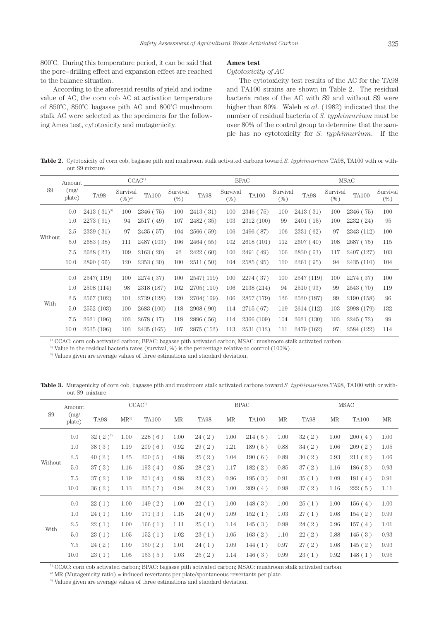800°C. During this temperature period, it can be said that the pore–drilling effect and expansion effect are reached to the balance situation.

According to the aforesaid results of yield and iodine value of AC, the corn cob AC at activation temperature of 850˚C, 850˚C bagasse pith AC and 800˚C mushroom stalk AC were selected as the specimens for the following Ames test, cytotoxicity and mutagenicity.

#### **Ames test**

#### *Cytotoxicity of AC*

The cytotoxicity test results of the AC for the TA98 and TA100 strains are shown in Table 2. The residual bacteria rates of the AC with S9 and without S9 were higher than 80%. Waleh *et al*. (1982) indicated that the number of residual bacteria of *S. typhimurium* must be over 80% of the control group to determine that the sample has no cytotoxicity for *S. typhimurium*. If the

**Table 2.** Cytotoxicity of corn cob, bagasse pith and mushroom stalk activated carbons toward *S. typhimurium* TA98, TA100 with or without S9 mixture

|                | Amount         | CCAC <sup>1</sup> |                        |                       |                    | <b>BPAC</b> |                 |              |                    | <b>MSAC</b> |                    |              |                    |
|----------------|----------------|-------------------|------------------------|-----------------------|--------------------|-------------|-----------------|--------------|--------------------|-------------|--------------------|--------------|--------------------|
| S <sub>9</sub> | (mg)<br>plate) | <b>TA98</b>       | Survival<br>$(\%)^{2}$ | $\text{T}\text{A}100$ | Survival<br>$(\%)$ | <b>TA98</b> | Survival<br>(%) | <b>TA100</b> | Survival<br>$(\%)$ | TA98        | Survival<br>$(\%)$ | <b>TA100</b> | Survival<br>$(\%)$ |
|                | 0.0            | $2413(31)^{3}$    | 100                    | 2346 (75)             | 100                | 2413(31)    | 100             | 2346 (75)    | 100                | 2413 (31)   | 100                | 2346 (75)    | 100                |
|                | 1.0            | 2273 (91)         | 94                     | 2517 (49)             | 107                | 2482 (35)   | 103             | 2312 (100)   | 99                 | 2401 (15)   | 100                | 2232 (24)    | 95                 |
| Without        | 2.5            | 2339(31)          | 97                     | 2435 (57)             | 104                | 2566(59)    | 106             | 2496 (87)    | 106                | 2331 (62)   | 97                 | 2343 (112)   | 100                |
|                | 5.0            | 2683 (38)         | 111                    | 2487 (103)            | 106                | 2464 (55)   | 102             | 2618 (101)   | 112                | 2607(40)    | 108                | 2687 (75)    | 115                |
|                | 7.5            | 2628 (23)         | 109                    | 2163(20)              | 92                 | 2422 (60)   | 100             | 2491 (49)    | 106                | 2830(63)    | 117                | 2407 (127)   | 103                |
|                | 10.0           | 2890(66)          | 120                    | 2353(30)              | 100                | 2511 (50)   | 104             | 2585 (95)    | 110                | 2261(95)    | 94                 | 2435(110)    | 104                |
|                | 0.0            | 2547(119)         | 100                    | 2274 (37)             | 100                | 2547(119)   | 100             | 2274 (37)    | 100                | 2547 (119)  | 100                | 2274 (37)    | 100                |
|                | 1.0            | 2508 (114)        | 98                     | 2318 (187)            | 102                | 2705(110)   | 106             | 2138 (214)   | 94                 | 2510 (93)   | 99                 | 2543 (70)    | 119                |
|                | 2.5            | 2567 (102)        | 101                    | 2739 (128)            | 120                | 2704(169)   | 106             | 2857 (179)   | 126                | 2520 (187)  | 99                 | 2190 (158)   | 96                 |
| With           | 5.0            | 2552 (103)        | 100                    | 2683 (100)            | 118                | 2908(90)    | 114             | 2715 (67)    | 119                | 2614 (112)  | 103                | 2998 (179)   | 132                |
|                | 7.5            | 2621 (196)        | 103                    | 2678 (17)             | 118                | 2896 (56)   | 114             | 2366 (109)   | 104                | 2621 (130)  | 103                | 2245 (72)    | 99                 |
|                | 10.0           | 2635 (196)        | 103                    | 2435 (165)            | 107                | 2875 (152)  | 113             | 2531 (112)   | 111                | 2479 (162)  | 97                 | 2584 (122)   | 114                |

1) CCAC: corn cob activated carbon; BPAC: bagasse pith activated carbon; MSAC: mushroom stalk activated carbon.

<sup>2)</sup> Value in the residual bacteria rates (survival, %) is the percentage relative to control (100%).

<sup>3)</sup> Values given are average values of three estimations and standard deviation.

**Table 3.** Mutagenicity of corn cob, bagasse pith and mushroom stalk activated carbons toward *S. typhimurium* TA98, TA100 with or without S9 mixture

| Amount         |                | CCAC <sup>1</sup> |        |              | <b>BPAC</b> |       |      | MSAC         |      |       |      |              |      |
|----------------|----------------|-------------------|--------|--------------|-------------|-------|------|--------------|------|-------|------|--------------|------|
| S <sub>9</sub> | (mg)<br>plate) | TA98              | $MR^2$ | <b>TA100</b> | MR          | TA98  | MR   | <b>TA100</b> | MR   | TA98  | MR   | <b>TA100</b> | MR   |
|                | 0.0            | $32(2)^3$         | 1.00   | 228(6)       | 1.00        | 24(2) | 1.00 | 214(5)       | 1.00 | 32(2) | 1.00 | 200(4)       | 1.00 |
|                | 1.0            | 38(3)             | 1.19   | 209(6)       | 0.92        | 29(2) | 1.21 | 189(5)       | 0.88 | 34(2) | 1.06 | 209(2)       | 1.05 |
|                | 2.5            | 40(2)             | 1.25   | 200(5)       | 0.88        | 25(2) | 1.04 | 190(6)       | 0.89 | 30(2) | 0.93 | 211(2)       | 1.06 |
| Without        | 5.0            | 37(3)             | 1.16   | 193(4)       | 0.85        | 28(2) | 1.17 | 182(2)       | 0.85 | 37(2) | 1.16 | 186(3)       | 0.93 |
|                | 7.5            | 37(2)             | 1.19   | 201(4)       | 0.88        | 23(2) | 0.96 | 195(3)       | 0.91 | 35(1) | 1.09 | 181(4)       | 0.91 |
|                | 10.0           | 36(2)             | 1.13   | 215(7)       | 0.94        | 24(2) | 1.00 | 209(4)       | 0.98 | 37(2) | 1.16 | 222(5)       | 1.11 |
|                | 0.0            | 22(1)             | 1.00   | 149(2)       | 1.00        | 22(1) | 1.00 | 148(3)       | 1.00 | 25(1) | 1.00 | 156(4)       | 1.00 |
|                | 1.0            | 24(1)             | 1.09   | 171(3)       | 1.15        | 24(0) | 1.09 | 152(1)       | 1.03 | 27(1) | 1.08 | 154(2)       | 0.99 |
|                | 2.5            | 22(1)             | 1.00   | 166(1)       | 1.11        | 25(1) | 1.14 | 145(3)       | 0.98 | 24(2) | 0.96 | 157(4)       | 1.01 |
| With           | 5.0            | 23(1)             | 1.05   | 152(1)       | 1.02        | 23(1) | 1.05 | 163(2)       | 1.10 | 22(2) | 0.88 | 145(3)       | 0.93 |
|                | 7.5            | 24(2)             | 1.09   | 150(2)       | 1.01        | 24(1) | 1.09 | 144(1)       | 0.97 | 27(2) | 1.08 | 145(2)       | 0.93 |
|                | 10.0           | 23(1)             | 1.05   | 153(5)       | 1.03        | 25(2) | 1.14 | 146(3)       | 0.99 | 23(1) | 0.92 | 148(1)       | 0.95 |

1) CCAC: corn cob activated carbon; BPAC: bagasse pith activated carbon; MSAC: mushroom stalk activated carbon.

 $^{2)}$  MR (Mutagenicity ratio) = induced revertants per plate/spontaneous revertants per plate.

<sup>3)</sup> Values given are average values of three estimations and standard deviation.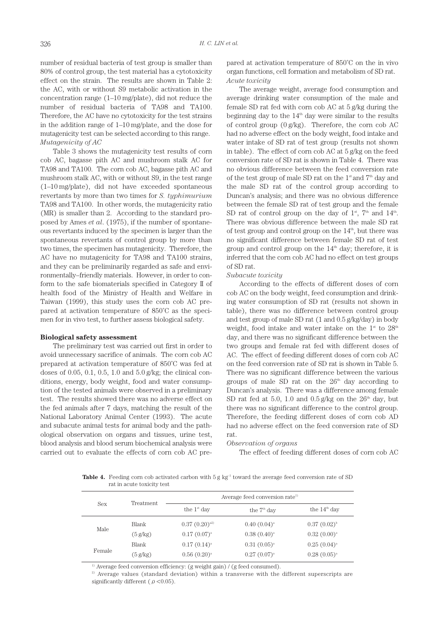number of residual bacteria of test group is smaller than 80% of control group, the test material has a cytotoxicity effect on the strain. The results are shown in Table 2: the AC, with or without S9 metabolic activation in the concentration range (1–10 mg/plate), did not reduce the number of residual bacteria of TA98 and TA100. Therefore, the AC have no cytotoxicity for the test strains in the addition range of 1–10 mg/plate, and the dose for mutagenicity test can be selected according to this range. *Mutagenicity of AC*

Table 3 shows the mutagenicity test results of corn cob AC, bagasse pith AC and mushroom stalk AC for TA98 and TA100. The corn cob AC, bagasse pith AC and mushroom stalk AC, with or without S9, in the test range (1–10 mg/plate), did not have exceeded spontaneous revertants by more than two times for *S. typhimurium*  TA98 and TA100. In other words, the mutagenicity ratio (MR) is smaller than 2. According to the standard proposed by Ames *et al*. (1975), if the number of spontaneous revertants induced by the specimen is larger than the spontaneous revertants of control group by more than two times, the specimen has mutagenicity. Therefore, the AC have no mutagenicity for TA98 and TA100 strains, and they can be preliminarily regarded as safe and environmentally–friendly materials. However, in order to conform to the safe biomaterials specified in Category II of health food of the Ministry of Health and Welfare in Taiwan (1999), this study uses the corn cob AC prepared at activation temperature of 850˚C as the specimen for in vivo test, to further assess biological safety.

#### **Biological safety assessment**

The preliminary test was carried out first in order to avoid unnecessary sacrifice of animals. The corn cob AC prepared at activation temperature of 850˚C was fed at doses of 0.05, 0.1, 0.5, 1.0 and 5.0 g/kg; the clinical conditions, energy, body weight, food and water consumption of the tested animals were observed in a preliminary test. The results showed there was no adverse effect on the fed animals after 7 days, matching the result of the National Laboratory Animal Center (1993). The acute and subacute animal tests for animal body and the pathological observation on organs and tissues, urine test, blood analysis and blood serum biochemical analysis were carried out to evaluate the effects of corn cob AC pre-

pared at activation temperature of 850˚C on the in vivo organ functions, cell formation and metabolism of SD rat. *Acute toxicity*

The average weight, average food consumption and average drinking water consumption of the male and female SD rat fed with corn cob AC at 5 g/kg during the beginning day to the  $14<sup>th</sup>$  day were similar to the results of control group (0 g/kg). Therefore, the corn cob AC had no adverse effect on the body weight, food intake and water intake of SD rat of test group (results not shown in table). The effect of corn cob AC at 5 g/kg on the feed conversion rate of SD rat is shown in Table 4. There was no obvious difference between the feed conversion rate of the test group of male SD rat on the  $1<sup>st</sup>$  and  $7<sup>th</sup>$  day and the male SD rat of the control group according to Duncan's analysis; and there was no obvious difference between the female SD rat of test group and the female SD rat of control group on the day of  $1<sup>st</sup>$ ,  $7<sup>th</sup>$  and  $14<sup>th</sup>$ . There was obvious difference between the male SD rat of test group and control group on the  $14<sup>th</sup>$ , but there was no significant difference between female SD rat of test group and control group on the  $14<sup>th</sup>$  day; therefore, it is inferred that the corn cob AC had no effect on test groups of SD rat.

#### *Subacute toxicity*

According to the effects of different doses of corn cob AC on the body weight, feed consumption and drinking water consumption of SD rat (results not shown in table), there was no difference between control group and test group of male SD rat (1 and 0.5 g/kg/day) in body weight, food intake and water intake on the  $1<sup>st</sup>$  to  $28<sup>th</sup>$ day, and there was no significant difference between the two groups and female rat fed with different doses of AC. The effect of feeding different doses of corn cob AC on the feed conversion rate of SD rat is shown in Table 5. There was no significant difference between the various groups of male SD rat on the  $26<sup>th</sup>$  day according to Duncan's analysis. There was a difference among female SD rat fed at 5.0, 1.0 and  $0.5$  g/kg on the  $26<sup>th</sup>$  day, but there was no significant difference to the control group. Therefore, the feeding different doses of corn cob AD had no adverse effect on the feed conversion rate of SD rat.

#### *Observation of organs*

The effect of feeding different doses of corn cob AC

**Table 4.** Feeding corn cob activated carbon with 5 g kg<sup>-1</sup> toward the average feed conversion rate of SD rat in acute toxicity test

|            | Treatment          |                   | Average feed conversion rate <sup>1)</sup> |                  |  |  |  |  |
|------------|--------------------|-------------------|--------------------------------------------|------------------|--|--|--|--|
| <b>Sex</b> |                    | the $1st$ day     | the $7th$ day                              | the $14th$ day   |  |  |  |  |
|            | Blank              | $0.37(0.20)^{a2}$ | $0.40~(0.04)^{a}$                          | $0.37(0.02)^{b}$ |  |  |  |  |
| Male       | $(5 \text{ g/kg})$ | $0.17(0.07)^{a}$  | $0.38(0.40)^{a}$                           | $0.32(0.00)^{a}$ |  |  |  |  |
|            | Blank              | $0.17(0.14)^{a}$  | $0.31(0.05)^{a}$                           | $0.25(0.04)^{a}$ |  |  |  |  |
| Female     | $(5 \text{ g/kg})$ | $0.56(0.20)^{a}$  | $0.27~(0.07)^{a}$                          | $0.28(0.05)^{a}$ |  |  |  |  |

<sup>1)</sup> Average feed conversion efficiency:  $(g$  weight gain)  $/(g$  feed consumed).

<sup>2)</sup> Average values (standard deviation) within a transverse with the different superscripts are significantly different ( $\rho < 0.05$ ).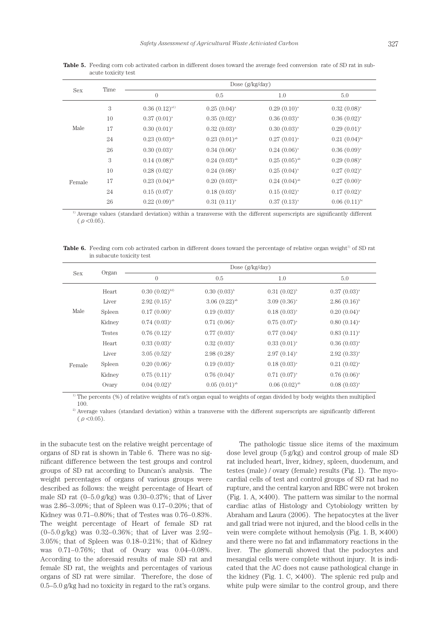| <b>Sex</b> | Time |                            | Dose $(g/kg/day)$          |                    |                   |  |  |  |  |
|------------|------|----------------------------|----------------------------|--------------------|-------------------|--|--|--|--|
|            |      | $\overline{0}$             | 0.5                        | 1.0                | 5.0               |  |  |  |  |
|            | 3    | $0.36(0.12)^{a}$           | $0.25(0.04)^{a}$           | $0.29(0.10)^{a}$   | $0.32(0.08)^{a}$  |  |  |  |  |
|            | 10   | $0.37(0.01)^{a}$           | $0.35(0.02)^{a}$           | $0.36(0.03)^{a}$   | $0.36(0.02)^{a}$  |  |  |  |  |
| Male       | 17   | $0.30(0.01)^{a}$           | $0.32(0.03)^{a}$           | $0.30(0.03)^{a}$   | $0.29(0.01)^{a}$  |  |  |  |  |
|            | 24   | $0.23(0.03)$ <sup>ab</sup> | $0.23(0.01)^{ab}$          | $0.27(0.01)^{a}$   | $0.21(0.04)^{bc}$ |  |  |  |  |
|            | 26   | $0.30(0.03)^{a}$           | $0.34(0.06)^{a}$           | $0.24~(0.06)^{a}$  | $0.36(0.09)^{a}$  |  |  |  |  |
|            | 3    | $0.14~(0.08)^{bc}$         | $0.24~(0.03)^{ab}$         | $0.25(0.05)^{ab}$  | $0.29(0.08)^{a}$  |  |  |  |  |
|            | 10   | $0.28(0.02)^{a}$           | $0.24~(0.08)^{a}$          | $0.25(0.04)^{a}$   | $0.27(0.02)^{a}$  |  |  |  |  |
| Female     | 17   | $0.23(0.04)$ <sup>ab</sup> | $0.20(0.03)$ <sup>bc</sup> | $0.24~(0.04)^{ab}$ | $0.27(0.00)^{a}$  |  |  |  |  |
|            | 24   | $0.15(0.07)^{a}$           | $0.18(0.03)^{a}$           | $0.15(0.02)^{a}$   | $0.17(0.02)^{a}$  |  |  |  |  |
|            | 26   | $0.22~(0.09)^{ab}$         | $0.31(0.11)^{a}$           | $0.37(0.13)^{a}$   | $0.06(0.11)^{bc}$ |  |  |  |  |

**Table 5.** Feeding corn cob activated carbon in different doses toward the average feed conversion rate of SD rat in subacute toxicity test

<sup>1)</sup> Average values (standard deviation) within a transverse with the different superscripts are significantly different  $(\rho < 0.05)$ .

**Table 6.** Feeding corn cob activated carbon in different doses toward the percentage of relative organ weight<sup>1)</sup> of SD rat in subacute toxicity test

|            | Organ         |                    | Dose $(g/kg/day)$          |                            |                   |  |  |  |  |  |
|------------|---------------|--------------------|----------------------------|----------------------------|-------------------|--|--|--|--|--|
| <b>Sex</b> |               | $\boldsymbol{0}$   | 0.5                        | 1.0                        | 5.0               |  |  |  |  |  |
|            | Heart         | $0.30~(0.02)^{b2}$ | $0.30(0.03)^{b}$           | $0.31(0.02)^{b}$           | $0.37(0.03)^{a}$  |  |  |  |  |  |
|            | Liver         | $2.92(0.15)^{b}$   | $3.06(0.22)$ <sup>ab</sup> | $3.09(0.36)^{a}$           | $2.86~(0.16)^{b}$ |  |  |  |  |  |
| Male       | Spleen        | $0.17(0.00)^{a}$   | $0.19(0.03)^{a}$           | $0.18(0.03)^{a}$           | $0.20~(0.04)^{a}$ |  |  |  |  |  |
|            | Kidney        | $0.74~(0.03)^{a}$  | $0.71(0.06)^{a}$           | $0.75(0.07)^{a}$           | $0.80~(0.14)^{a}$ |  |  |  |  |  |
|            | <b>Testes</b> | $0.76(0.12)^{a}$   | $0.77(0.03)^{a}$           | $0.77(0.04)^{a}$           | $0.83(0.11)^{a}$  |  |  |  |  |  |
|            | Heart         | $0.33(0.03)^{a}$   | $0.32(0.03)^{a}$           | $0.33(0.01)^{a}$           | $0.36(0.03)^{a}$  |  |  |  |  |  |
|            | Liver         | $3.05(0.52)^{a}$   | $2.98(0.28)^{a}$           | $2.97(0.14)^{a}$           | $2.92(0.33)^{a}$  |  |  |  |  |  |
| Female     | Spleen        | $0.20(0.06)^{a}$   | $0.19(0.03)^{a}$           | $0.18(0.03)^{a}$           | $0.21~(0.02)^{a}$ |  |  |  |  |  |
|            | Kidney        | $0.75(0.11)^{a}$   | $0.76(0.04)^{a}$           | $0.71~(0.07)^{a}$          | $0.76(0.06)^{a}$  |  |  |  |  |  |
|            | Ovary         | $0.04~(0.02)^{b}$  | $0.05(0.01)$ <sup>ab</sup> | $0.06(0.02)$ <sup>ab</sup> | $0.08(0.03)^{a}$  |  |  |  |  |  |

<sup>1)</sup> The percents (%) of relative weights of rat's organ equal to weights of organ divided by body weights then multiplied 100.

<sup>2)</sup> Average values (standard deviation) within a transverse with the different superscripts are significantly different  $($   $\rho$  < 0.05).

in the subacute test on the relative weight percentage of organs of SD rat is shown in Table 6. There was no significant difference between the test groups and control groups of SD rat according to Duncan's analysis. The weight percentages of organs of various groups were described as follows: the weight percentage of Heart of male SD rat  $(0-5.0 \text{ g/kg})$  was  $0.30-0.37\%$ ; that of Liver was 2.86–3.09%; that of Spleen was 0.17–0.20%; that of Kidney was 0.71–0.80%; that of Testes was 0.76–0.83%. The weight percentage of Heart of female SD rat (0–5.0 g/kg) was 0.32–0.36%; that of Liver was 2.92– 3.05%; that of Spleen was 0.18–0.21%; that of Kidney was 0.71–0.76%; that of Ovary was 0.04–0.08%. According to the aforesaid results of male SD rat and female SD rat, the weights and percentages of various organs of SD rat were similar. Therefore, the dose of 0.5–5.0 g/kg had no toxicity in regard to the rat's organs.

The pathologic tissue slice items of the maximum dose level group (5 g/kg) and control group of male SD rat included heart, liver, kidney, spleen, duodenum, and testes (male) / ovary (female) results (Fig. 1). The myocardial cells of test and control groups of SD rat had no rupture, and the central karyon and RBC were not broken (Fig. 1. A,  $\times$ 400). The pattern was similar to the normal cardiac atlas of Histology and Cytobiology written by Abraham and Laura (2006). The hepatocytes at the liver and gall triad were not injured, and the blood cells in the vein were complete without hemolysis (Fig. 1. B, ×400) and there were no fat and inflammatory reactions in the liver. The glomeruli showed that the podocytes and mesangial cells were complete without injury. It is indicated that the AC does not cause pathological change in the kidney (Fig. 1. C,  $\times$ 400). The splenic red pulp and white pulp were similar to the control group, and there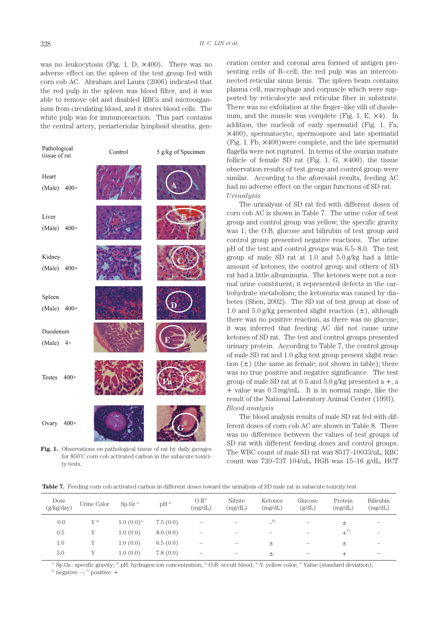was no leukocytosis (Fig. 1. D, ×400). There was no adverse effect on the spleen of the test group fed with corn cob AC. Abraham and Laura (2006) indicated that the red pulp in the spleen was blood filter, and it was able to remove old and disabled RBCs and microorganisms from circulating blood, and it stores blood cells. The white pulp was for immunoreaction. This part contains the central artery, periarteriolar lymphoid sheaths, gen-



**Fig. 1.** Observations on pathological tissue of rat by daily gavages for 850˚C corn cob activated carbon in the subacute toxicity tests.

eration center and coronal area formed of antigen presenting cells of B–cell; the red pulp was an interconnected reticular sinus lienis. The spleen beam contains plasma cell, macrophage and corpuscle which were supported by reticulocyte and reticular fiber in substrate. There was no exfoliation at the finger–like villi of duodenum, and the muscle was complete (Fig. 1. E, ×4). In addition, the nucleoli of early spermatid (Fig. 1. Fa, ×400), spermatocyte, spermospore and late spermatid (Fig. 1. Fb, ×400)were complete, and the late spermatid flagella were not ruptured. In terms of the ovarian mature follicle of female SD rat (Fig. 1. G,  $\times$ 400), the tissue observation results of test group and control group were similar. According to the aforesaid results, feeding AC had no adverse effect on the organ functions of SD rat. *Urinalysis*

The urinalysis of SD rat fed with different doses of corn cob AC is shown in Table 7. The urine color of test group and control group was yellow; the specific gravity was 1; the O.B, glucose and bilirubin of test group and control group presented negative reactions. The urine pH of the test and control groups was 6.5–8.0. The test group of male SD rat at 1.0 and 5.0 g/kg had a little amount of ketones; the control group and others of SD rat had a little albuminuria. The ketones were not a normal urine constituent; it represented defects in the carbohydrate metabolism; the ketonuria was caused by diabetes (Shen, 2002). The SD rat of test group at dose of 1.0 and 5.0 g/kg presented slight reaction  $(\pm)$ , although there was no positive reaction, as there was no glucose; it was inferred that feeding AC did not cause urine ketones of SD rat. The test and control groups presented urinary protein. According to Table 7, the control group of male SD rat and 1.0 g/kg test group present slight reaction  $(\pm)$  (the same as female; not shown in table); there was no true positive and negative significance. The test group of male SD rat at  $0.5$  and  $5.0$  g/kg presented a  $+$ , a + value was 0.3 mg/mL. It is in normal range, like the result of the National Laboratory Animal Center (1993). *Blood analysis*

The blood analysis results of male SD rat fed with different doses of corn cob AC are shown in Table 8. There was no difference between the values of test groups of SD rat with different feeding doses and control groups. The WBC count of male SD rat was 8517–10033/uL, RBC count was 720–737 104/uL, HGB was 15–16 g/dL, HCT

**Table 7.** Feeding corn cob activated carbon in different doses toward the urinalysis of SD male rat in subacute toxicity test

| Dose<br>(g/kg/day) | Urine Color | Sp.Gr <sup>1</sup> | $pH^2$   | $O.B^{3}$<br>(mg/dL)     | Nitrite<br>(mg/dL)       | Ketones<br>(mg/dL)       | Glucose<br>(g/dL) | Protein<br>(mg/dL) | Bilirubin<br>(mg/dL)     |
|--------------------|-------------|--------------------|----------|--------------------------|--------------------------|--------------------------|-------------------|--------------------|--------------------------|
| 0.0                | $Y^{4)}$    | $1.0 \ (0.0)^{5}$  | 7.5(0.0) | $\overline{\phantom{0}}$ | $\overline{\phantom{a}}$ | $-6$                     |                   | 土                  | $\overline{\phantom{a}}$ |
| 0.5                |             | 1.0(0.0)           | 8.0(0.0) | -                        |                          | $\overline{\phantom{a}}$ |                   | $+^{7)}$           | $\overline{\phantom{a}}$ |
| 1.0                |             | 1.0(0.0)           | 6.5(0.0) | -                        | $\overline{\phantom{a}}$ | 土                        |                   | 土                  | $\sim$                   |
| 5.0                |             | 1.0(0.0)           | 7.8(0.0) | $\overline{\phantom{a}}$ | $\overline{\phantom{a}}$ | 土                        |                   | +                  | $\sim$                   |

<sup>1)</sup> Sp.Gr.: specific gravity; <sup>2)</sup> pH: hydragen ion concentration; <sup>3)</sup> O.B: occult blood; <sup>4)</sup> Y: yellow color; <sup>5)</sup> Value (standard deviation); <sup>6</sup>) negative:  $\div$ ; 7<sup>0</sup> positive:  $+$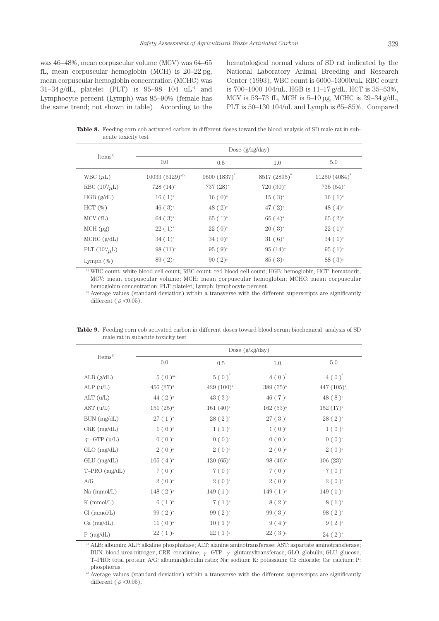was 46–48%, mean corpuscular volume (MCV) was 64–65 fL, mean corpuscular hemoglobin (MCH) is 20–22 pg, mean corpuscular hemoglobin concentration (MCHC) was  $31-34$  g/dL, platelet (PLT) is  $95-98$  104 uL<sup>-1</sup> and Lymphocyte percent (Lymph) was 85–90% (female has the same trend; not shown in table). According to the hematological normal values of SD rat indicated by the National Laboratory Animal Breeding and Research Center (1993), WBC count is 6000–13000/uL, RBC count is 700–1000 104/uL, HGB is 11–17 g/dL, HCT is 35–53%, MCV is 53–73 fL, MCH is 5–10 pg, MCHC is 29–34 g/dL, PLT is 50–130 104/uL and Lymph is 65–85%. Compared

**Table 8.** Feeding corn cob activated carbon in different doses toward the blood analysis of SD male rat in subacute toxicity test

|                      | Dose $(g/kg/day)$    |                      |                          |                      |  |  |  |  |
|----------------------|----------------------|----------------------|--------------------------|----------------------|--|--|--|--|
| Items <sup>1</sup>   | 0.0                  | 0.5                  | 1.0                      | 5.0                  |  |  |  |  |
| WBC $(\mu L)$        | $10033(5129)^{a2}$   | $9600(1837)^{4}$     | 8517 (2895) <sup>*</sup> | $11250(4084)^{4}$    |  |  |  |  |
| RBC $(10^4/\mu L)$   | $728 (14)^{a}$       | $737 (28)^{a}$       | $720 (30)^{a}$           | $735(54)^{a}$        |  |  |  |  |
| HGB (g/dL)           | $16(1)^{a}$          | $16(0)^{a}$          | $15(3)^{a}$              | $16(1)^{a}$          |  |  |  |  |
| HCT(%)               | $46(3)^{a}$          | 48 $(2)^{a}$         | $47(2)^{a}$              | 48 $(4)^a$           |  |  |  |  |
| $MCV$ (fL)           | $64(3)^{a}$          | $65(1)^{a}$          | $65(4)^{a}$              | $65(2)^{a}$          |  |  |  |  |
| $MCH$ (pg)           | $22(1)^{a}$          | $22(0)^{a}$          | $20(3)^{a}$              | $22(1)^{a}$          |  |  |  |  |
| $MCHC$ ( $g/dL$ )    | $34(1)^{a}$          | $34(0)^{a}$          | $31(6)^{a}$              | $34(1)^{a}$          |  |  |  |  |
| PLT $(10^{4}/\mu L)$ | $98(11)^{a}$         | $95(9)^{a}$          | $95(14)^{a}$             | $95(1)^{a}$          |  |  |  |  |
| Lymph $(\%)$         | $89(2)$ <sup>a</sup> | $90(2)$ <sup>a</sup> | $85(3)$ <sup>a</sup>     | $88(3)$ <sup>a</sup> |  |  |  |  |

1) WBC count: white blood cell count; RBC count: red blood cell count; HGB: hemoglobin; HCT: hematocrit; MCV: mean corpuscular volume; MCH: mean corpuscular hemoglobin; MCHC: mean corpuscular hemoglobin concentration; PLT: platelet; Lymph: lymphocyte percent.

<sup>2)</sup> Average values (standard deviation) within a transverse with the different superscripts are significantly different ( $\rho < 0.05$ ).

|                     | Dose $(g/kg/day)$    |                        |                       |                        |  |  |  |  |
|---------------------|----------------------|------------------------|-----------------------|------------------------|--|--|--|--|
| Items <sup>1</sup>  | 0.0                  | 0.5                    | 1.0                   | 5.0                    |  |  |  |  |
| $ALB$ ( $g/dL$ )    | $5 (0)^{a2}$         | $5(0)^a$               | $4(0)^{a}$            | $4(0)^{^a}$            |  |  |  |  |
| ALP (u/L)           | 456 $(27)^{a}$       | 429 $(100)^{a}$        | 389 (75) <sup>a</sup> | 447 (105) <sup>a</sup> |  |  |  |  |
| ALT (u/L)           | 44 $(2)^{a}$         | 43 $(3)^a$             | 46 (7) <sup>a</sup>   | 48 (8) <sup>a</sup>    |  |  |  |  |
| AST (u/L)           | $151 (25)^{a}$       | 161 $(40)^a$           | $162(53)^{a}$         | $152 \ (17)^{a}$       |  |  |  |  |
| BUN (mg/dL)         | $27(1)^{a}$          | $28(2)^{a}$            | $27(3)^{a}$           | $28(2)^{a}$            |  |  |  |  |
| CRE (mg/dL)         | $1 (0)^a$            | $1(1)^a$               | $1 (0)^a$             | $1\,(0)^a$             |  |  |  |  |
| $\gamma$ -GTP (u/L) | $0 (0)^a$            | $0 (0)^a$              | $0 (0)^a$             | $0 (0)^a$              |  |  |  |  |
| $GLO$ (mg/dL)       | $2 (0)^a$            | $2 (0)^a$              | $2 (0)^a$             | $2(0)^a$               |  |  |  |  |
| $GLU$ (mg/dL)       | $105 (4)^{a}$        | $120(65)^{a}$          | $98 (46)^{a}$         | $106 (23)^{a}$         |  |  |  |  |
| T-PRO (mg/dL)       | $7(0)^a$             | $7$ ( $0$ ) $^{\rm a}$ | $7(0)^a$              | $7(0)^a$               |  |  |  |  |
| A/G                 | $2(0)^a$             | $2 (0)^a$              | $2 (0)^a$             | $2(0)^a$               |  |  |  |  |
| Na (mmol/L)         | $148 (2)^{a}$        | $149(1)^{a}$           | $149(1)^{a}$          | $149(1)^{a}$           |  |  |  |  |
| $K \, (mmol/L)$     | $6(1)^{a}$           | $7(1)^{a}$             | $8(2)^{a}$            | $8(1)^{a}$             |  |  |  |  |
| Cl (mmol/L)         | $99(2)^{a}$          | $99(2)^{a}$            | $99(3)^{a}$           | $98(2)^{a}$            |  |  |  |  |
| Ca (mg/dL)          | $11(0)^a$            | $10(1)^{a}$            | $9(4)^{a}$            | $9(2)^{a}$             |  |  |  |  |
| $P$ (mg/dL)         | $22(1)$ <sup>a</sup> | $22(1)^{a}$            | $22(3)$ <sup>a</sup>  | $24(2)^{a}$            |  |  |  |  |

**Table 9.** Feeding corn cob activated carbon in different doses toward blood serum biochemical analysis of SD male rat in subacute toxicity test

1) ALB: albumin; ALP: alkaline phosphatase; ALT: alanine aminotransferase; AST: aspartate aminotransferase; BUN: blood urea nitrogen; CRE: creatinine; γ–GTP: γ–glutamyltransferase; GLO: globulin; GLU: glucose; T–PRO: total protein; A/G: albumin/globulin ratio; Na: sodium; K: potassium; Cl: chloride; Ca: calcium; P: phosphorus.

<sup>2)</sup> Average values (standard deviation) within a transverse with the different superscripts are significantly different ( $\rho < 0.05$ ).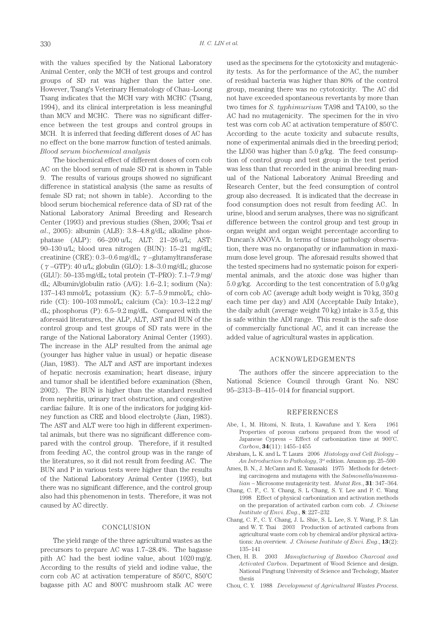with the values specified by the National Laboratory Animal Center, only the MCH of test groups and control groups of SD rat was higher than the latter one. However, Tsang's Veterinary Hematology of Chau–Loong Tsang indicates that the MCH vary with MCHC (Tsang, 1994), and its clinical interpretation is less meaningful than MCV and MCHC. There was no significant difference between the test groups and control groups in MCH. It is inferred that feeding different doses of AC has no effect on the bone marrow function of tested animals. *Blood serum biochemical analysis*

The biochemical effect of different doses of corn cob AC on the blood serum of male SD rat is shown in Table 9. The results of various groups showed no significant difference in statistical analysis (the same as results of female SD rat; not shown in table). According to the blood serum biochemical reference data of SD rat of the National Laboratory Animal Breeding and Research Center (1993) and previous studies (Shen, 2006; Tsai *et al*., 2005): albumin (ALB): 3.8–4.8 g/dL; alkaline phosphatase (ALP): 66–200 u/L; ALT: 21–26 u/L; AST: 90–130 u/L; blood urea nitrogen (BUN): 15–21 mg/dL; creatinine (CRE):  $0.3-0.6$  mg/dL;  $\gamma$ -glutamyltransferase (γ–GTP): 40 u/L; globulin (GLO): 1.8–3.0 mg/dL; glucose (GLU): 50–135 mg/dL; total protein (T–PRO): 7.1–7.9 mg/ dL; Albumin/globulin ratio (A/G): 1.6–2.1; sodium (Na): 137–143 mmol/L; potassium (K): 5.7–5.9 mmol/L; chloride (Cl): 100–103 mmol/L; calcium (Ca): 10.3–12.2 mg/ dL; phosphorus (P): 6.5–9.2 mg/dL. Compared with the aforesaid literatures, the ALP, ALT, AST and BUN of the control group and test groups of SD rats were in the range of the National Laboratory Animal Center (1993). The increase in the ALP resulted from the animal age (younger has higher value in usual) or hepatic disease (Jian, 1983). The ALT and AST are important indexes of hepatic necrosis examination; heart disease, injury and tumor shall be identified before examination (Shen, 2002). The BUN is higher than the standard resulted from nephritis, urinary tract obstruction, and congestive cardiac failure. It is one of the indicators for judging kidney function as CRE and blood electrolyte (Jian, 1983). The AST and ALT were too high in different experimental animals, but there was no significant difference compared with the control group. Therefore, if it resulted from feeding AC, the control group was in the range of the literatures, so it did not result from feeding AC. The BUN and P in various tests were higher than the results of the National Laboratory Animal Center (1993), but there was no significant difference, and the control group also had this phenomenon in tests. Therefore, it was not caused by AC directly.

#### CONCLUSION

The yield range of the three agricultural wastes as the precursors to prepare AC was 1.7–28.4%. The bagasse pith AC had the best iodine value, about 1020 mg/g. According to the results of yield and iodine value, the corn cob AC at activation temperature of 850˚C, 850˚C bagasse pith AC and 800˚C mushroom stalk AC were

used as the specimens for the cytotoxicity and mutagenicity tests. As for the performance of the AC, the number of residual bacteria was higher than 80% of the control group, meaning there was no cytotoxicity. The AC did not have exceeded spontaneous revertants by more than two times for *S. typhimurium* TA98 and TA100, so the AC had no mutagenicity. The specimen for the in vivo test was corn cob AC at activation temperature of 850˚C. According to the acute toxicity and subacute results, none of experimental animals died in the breeding period; the LD50 was higher than 5.0 g/kg. The feed consumption of control group and test group in the test period was less than that recorded in the animal breeding manual of the National Laboratory Animal Breeding and Research Center, but the feed consumption of control group also decreased. It is indicated that the decrease in food consumption does not result from feeding AC. In urine, blood and serum analyses, there was no significant difference between the control group and test group in organ weight and organ weight percentage according to Duncan's ANOVA. In terms of tissue pathology observation, there was no organopathy or inflammation in maximum dose level group. The aforesaid results showed that the tested specimens had no systematic poison for experimental animals, and the atoxic dose was higher than 5.0 g/kg. According to the test concentration of 5.0 g/kg of corn cob AC (average adult body weight is 70 kg, 350 g each time per day) and ADI (Acceptable Daily Intake), the daily adult (average weight 70 kg) intake is 3.5 g, this is safe within the ADI range. This result is the safe dose of commercially functional AC, and it can increase the added value of agricultural wastes in application.

### ACKNOWLEDGEMENTS

The authors offer the sincere appreciation to the National Science Council through Grant No. NSC 95–2313–B–415–014 for financial support.

#### REFERENCES

- Abe, I., M. Hitomi, N. Ikuta, I. Kawafune and Y. Kera 1961 Properties of porous carbons prepared from the wood of Japanese Cypress – Effect of carbonization time at 900˚C. *Carbon*, **34**(11): 1455–1455
- Abraham, L. K. and L. T. Laura 2006 *Histology and Cell Biology An Introduction to Pathology*, 3rd edition. Amazon pp. 25–500
- Ames, B. N., J. McCann and E. Yamasaki 1975 Methods for detecting carcinogens and mutagens with the *Salmonella/mammalian* – Microsome mutagenicity test. *Mutat Res*., **31**: 347–364.
- Chang, C. F., C. Y. Chang, S. L Chang, S. Y. Lee and P. C. Wang 1998 Effect of physical carbonization and activation methods on the preparation of activated carbon corn cob. *J. Chinese Institute of Envi. Eng*., **8**: 227–232
- Chang, C. F., C. Y. Chang, J. L. Shie, S. L. Lee, S. Y. Wang, P. S. Lin and W. T. Tsai 2003 Production of activated carbons from agricultural waste corn cob by chemical and/or physical activations: An overview. *J. Chinese Institute of Envi. Eng*., **13**(2): 135–141
- Chen, H. B. 2003 *Manufacturing of Bamboo Charcoal and Activated Carbon*. Department of Wood Science and design. National Pingtung University of Science and Techology, Master thesis
- Chou, C. Y. 1988 *Development of Agricultural Wastes Process*.